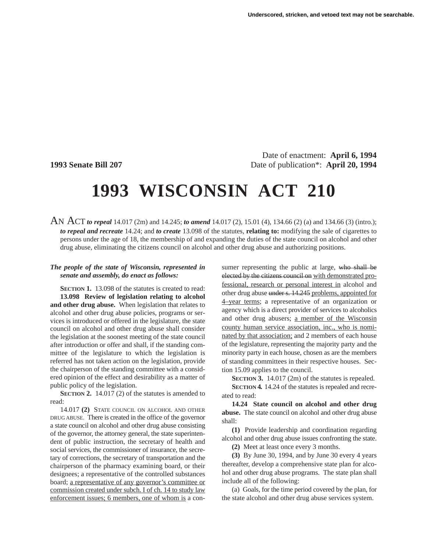Date of enactment: **April 6, 1994 1993 Senate Bill 207** Date of publication\*: **April 20, 1994**

## **1993 WISCONSIN ACT 210**

AN ACT *to repeal* 14.017 (2m) and 14.245; *to amend* 14.017 (2), 15.01 (4), 134.66 (2) (a) and 134.66 (3) (intro.); *to repeal and recreate* 14.24; and *to create* 13.098 of the statutes, **relating to:** modifying the sale of cigarettes to persons under the age of 18, the membership of and expanding the duties of the state council on alcohol and other drug abuse, eliminating the citizens council on alcohol and other drug abuse and authorizing positions.

## *The people of the state of Wisconsin, represented in senate and assembly, do enact as follows:*

**SECTION 1.** 13.098 of the statutes is created to read: **13.098 Review of legislation relating to alcohol and other drug abuse.** When legislation that relates to alcohol and other drug abuse policies, programs or services is introduced or offered in the legislature, the state council on alcohol and other drug abuse shall consider the legislation at the soonest meeting of the state council after introduction or offer and shall, if the standing committee of the legislature to which the legislation is referred has not taken action on the legislation, provide the chairperson of the standing committee with a considered opinion of the effect and desirability as a matter of public policy of the legislation.

**SECTION 2.** 14.017 (2) of the statutes is amended to read:

14.017 **(2)** STATE COUNCIL ON ALCOHOL AND OTHER DRUG ABUSE. There is created in the office of the governor a state council on alcohol and other drug abuse consisting of the governor, the attorney general, the state superintendent of public instruction, the secretary of health and social services, the commissioner of insurance, the secretary of corrections, the secretary of transportation and the chairperson of the pharmacy examining board, or their designees; a representative of the controlled substances board; a representative of any governor's committee or commission created under subch. I of ch. 14 to study law enforcement issues; 6 members, one of whom is a con-

sumer representing the public at large, who shall be elected by the citizens council on with demonstrated professional, research or personal interest in alcohol and other drug abuse under s. 14.245 problems, appointed for 4–year terms; a representative of an organization or agency which is a direct provider of services to alcoholics and other drug abusers; a member of the Wisconsin county human service association, inc., who is nominated by that association; and 2 members of each house of the legislature, representing the majority party and the minority party in each house, chosen as are the members of standing committees in their respective houses. Section 15.09 applies to the council.

**SECTION 3.** 14.017 (2m) of the statutes is repealed.

**SECTION 4.** 14.24 of the statutes is repealed and recreated to read:

**14.24 State council on alcohol and other drug abuse.** The state council on alcohol and other drug abuse shall:

**(1)** Provide leadership and coordination regarding alcohol and other drug abuse issues confronting the state.

**(2)** Meet at least once every 3 months.

**(3)** By June 30, 1994, and by June 30 every 4 years thereafter, develop a comprehensive state plan for alcohol and other drug abuse programs. The state plan shall include all of the following:

(a) Goals, for the time period covered by the plan, for the state alcohol and other drug abuse services system.